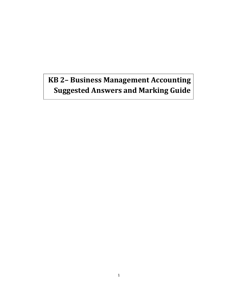# **KB 2– Business Management Accounting Suggested Answers and Marking Guide**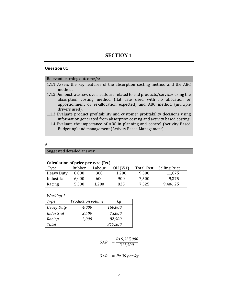# **SECTION 1**

## **Question 01**

#### Relevant learning outcome/s:

- 1.1.1 Assess the key features of the absorption costing method and the ABC method.
- 1.1.2 Demonstrate how overheads are related to end products/services using the absorption costing method (flat rate used with no allocation or apportionment or re-allocation expected) and ABC method (multiple drivers used).
- 1.1.3 Evaluate product profitability and customer profitability decisions using information generated from absorption costing and activity based costing.
- 1.1.4 Evaluate the importance of ABC in planning and control (Activity Based Budgeting) and management (Activity Based Management).

#### A.

Suggested detailed answer:

| Calculation of price per tyre (Rs.) |        |        |         |                   |                      |  |
|-------------------------------------|--------|--------|---------|-------------------|----------------------|--|
| Type                                | Rubber | Labour | OH (W1) | <b>Total Cost</b> | <b>Selling Price</b> |  |
| Heavy Duty                          | 8,000  | 300    | 1,200   | 9,500             | 11,875               |  |
| Industrial                          | 6,000  | 600    | 900     | 7,500             | 9,375                |  |
| Racing                              | 5,500  | 1,200  | 825     | 7,525             | 9,406.25             |  |

*Working 1* 

| <b>Type</b>       | <b>Production volume</b> | kg      |
|-------------------|--------------------------|---------|
| <b>Heavy Duty</b> | 4,000                    | 160,000 |
| <b>Industrial</b> | 2,500                    | 75,000  |
| Racing            | 3,000                    | 82,500  |
| Total             |                          | 317,500 |

$$
OAR = \frac{Rs.9,525,000}{317,500}
$$

$$
OAR = Rs.30 \, per \, kg
$$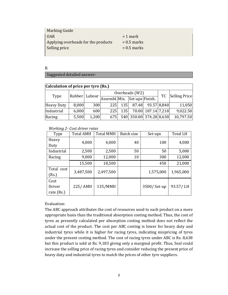| <b>Marking Guide</b>                |               |
|-------------------------------------|---------------|
| <b>OAR</b>                          | $= 1$ mark    |
| Applying overheads for the products | $= 0.5$ marks |
| Selling price                       | $= 0.5$ marks |
|                                     |               |

B.

#### Suggested detailed answer:

| Calculation of price per tyre (Rs.) |        |        |                               |                  |                         |                    |               |           |
|-------------------------------------|--------|--------|-------------------------------|------------------|-------------------------|--------------------|---------------|-----------|
| Type                                | Rubber |        | Overheads (W2)                |                  |                         | <b>TC</b>          | Selling Price |           |
|                                     |        | Labour | Assembl. Mix. Set-ups Finish. |                  |                         |                    |               |           |
| Heavy Duty                          | 8,000  | 300    | 225                           | 135 <sup>1</sup> |                         | 87.48 93.57 8,840  |               | 11,050    |
| Industrial                          | 6,000  | 600    | 225                           | <b>135</b>       |                         | 70.00 187.14 7,218 |               | 9,022.50  |
| Racing                              | 5,500  | 1,200  | 675                           |                  | 540 350.00 374.28 8,638 |                    |               | 10,797.50 |

#### *Working 2- Cost driver rates*

| Type       | <b>Total AMH</b> | <b>Total MMH</b> | Batch size | Set-ups     | <b>Total LH</b> |
|------------|------------------|------------------|------------|-------------|-----------------|
| Heavy      | 4,000            | 4,000            | 40         | 100         | 4,000           |
| Duty       |                  |                  |            |             |                 |
| Industrial | 2,500            | 2,500            | 50         | 50          | 5,000           |
| Racing     | 9,000            | 12,000           | 10         | 300         | 12,000          |
|            | 15,500           | 18,500           |            | 450         | 21,000          |
| Total cost | 3,487,500        | 2,497,500        |            | 1,575,000   | 1,965,000       |
| (Rs.)      |                  |                  |            |             |                 |
| Cost       |                  |                  |            |             |                 |
| Driver     | 225/AMH          | 135/MMH          |            | 3500/Set-up | 93.57/LH        |
| rate (Rs.) |                  |                  |            |             |                 |

## Evaluation:

The ABC approach attributes the cost of resources used to each product on a more appropriate basis than the traditional absorption costing method. Thus, the cost of tyres as presently calculated per absorption costing method does not reflect the actual cost of the product. The cost per ABC costing is lower for heavy duty and industrial tyres while it is higher for racing tyres, indicating mispricing of tyres under the present costing method. The cost of racing tyres under ABC is Rs. 8,638 but this product is sold at Rs. 9,183 giving only a marginal profit. Thus, Seal could increase the selling price of racing tyres and consider reducing the present price of heavy duty and industrial tyres to match the prices of other tyre suppliers.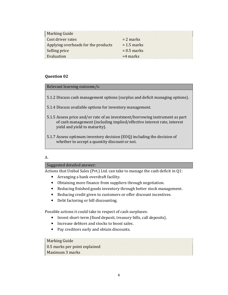| <b>Marking Guide</b>                |               |
|-------------------------------------|---------------|
| Cost driver rates                   | $= 2$ marks   |
| Applying overheads for the products | $= 1.5$ marks |
| Selling price                       | $= 0.5$ marks |
| Evaluation                          | $=$ 4 marks   |

#### Relevant learning outcome/s:

- 5.1.2 Discuss cash management options (surplus and deficit managing options).
- 5.1.4 Discuss available options for inventory management.
- 5.1.5 Assess price and/or rate of an investment/borrowing instrument as part of cash management (including implied/effective interest rate, interest yield and yield to maturity).
- 5.1.7 Assess optimum inventory decision (EOQ) including the decision of whether to accept a quantity discount or not.

## A.

## Suggested detailed answer:

Actions that Unibal Sales (Pvt.) Ltd. can take to manage the cash deficit in Q1:

- Arranging a bank overdraft facility.
- Obtaining more finance from suppliers through negotiation.
- Reducing finished goods inventory through better stock management.
- Reducing credit given to customers or offer discount incentives.
- Debt factoring or bill discounting.

Possible actions it could take in respect of cash surpluses:

- Invest short-term (fixed deposit, treasury bills, call deposits).
- Increase debtors and stocks to boost sales.
- Pay creditors early and obtain discounts.

## Marking Guide

0.5 marks per point explained Maximum 3 marks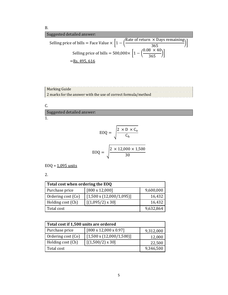B.

Suggested detailed answer:  
\nSelling price of bills = Face Value × 
$$
\left[1 - \left(\frac{\text{Rate of return } \times \text{ Days remaining}}{365}\right)\right]
$$
  
\nSelling price of bills = 500,000×  $\left[1 - \left(\frac{0.08 \times 40}{365}\right)\right]$   
\n= Rs. 495, 616

## Marking Guide 2 marks for the answer with the use of correct formula/method

C.

1. Suggested detailed answer:

$$
EOQ = \sqrt{\frac{2 \times D \times C_{o}}{C_{h}}}
$$

$$
EOQ = \sqrt{\frac{2 \times 12,000 \times 1,500}{30}}
$$

 $EOQ = 1.095$  units

2.

| Total cost when ordering the EOQ |                                 |           |  |  |
|----------------------------------|---------------------------------|-----------|--|--|
| Purchase price                   | $[800 \times 12,000]$           | 9,600,000 |  |  |
| Ordering cost (Co)               | $[1,500 \times (12,000/1,095)]$ | 16,432    |  |  |
| Holding cost (Ch)                | $[(1,095/2) \times 30]$         | 16,432    |  |  |
| Total cost                       |                                 | 9,632,864 |  |  |

| Total cost if 1,500 units are ordered |                                   |           |  |  |
|---------------------------------------|-----------------------------------|-----------|--|--|
| Purchase price                        | $[800 \times 12,000 \times 0.97]$ | 9,312,000 |  |  |
| Ordering cost (Co)                    | $[1,500 \times (12,000/1,500)]$   | 12,000    |  |  |
| Holding cost (Ch)                     | $[(1,500/2) \times 30]$           | 22,500    |  |  |
| Total cost                            | 9,346,500                         |           |  |  |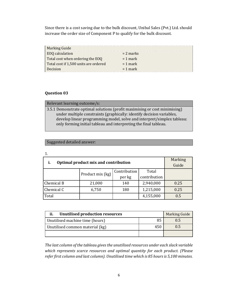Since there is a cost saving due to the bulk discount, Unibal Sales (Pvt.) Ltd. should increase the order size of Component P to qualify for the bulk discount.

| <b>Marking Guide</b>                  |             |
|---------------------------------------|-------------|
| <b>EOQ</b> calculation                | $= 2$ marks |
| Total cost when ordering the EOQ      | $= 1$ mark  |
| Total cost if 1,500 units are ordered | $= 1$ mark  |
| Decision                              | $= 1$ mark  |

## **Question 03**

| Relevant learning outcome/s:                                               |
|----------------------------------------------------------------------------|
| 3.5.1 Demonstrate optimal solutions (profit maximising or cost minimising) |
| under multiple constraints (graphically: identify decision variables,      |
| develop linear programming model, solve and interpret/simplex tableau:     |
| only forming initial tableau and interpreting the final tableau.           |

## Suggested detailed answer:

| Optimal product mix and contribution<br>i. | Marking          |        |              |      |
|--------------------------------------------|------------------|--------|--------------|------|
|                                            | Guide            |        |              |      |
|                                            |                  |        | Total        |      |
|                                            | Product mix (kg) | per kg | contribution |      |
| Chemical B                                 | 21,000           | 140    | 2,940,000    | 0.25 |
| Chemical C                                 | 6,750            | 180    | 1,215,000    | 0.25 |
| Total                                      |                  |        | 4,155,000    | 0.5  |

| ii.<br><b>Unutilised production resources</b> | <b>Marking Guide</b> |     |
|-----------------------------------------------|----------------------|-----|
| 85<br>Unutilised machine time (hours)         |                      | 0.5 |
| Unutilised common material (kg)               | 0.5                  |     |
|                                               |                      |     |

*The last column of the tableau gives the unutilised resources under each slack variable which represents scarce resources and optimal quantity for each product. (Please refer first column and last column). Unutilised time which is 85 hours is 5,100 minutes.*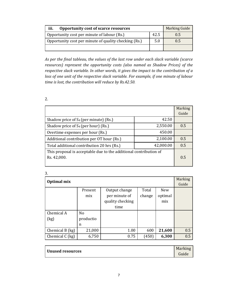| iii.<br>Opportunity cost of scarce resources          |      | <b>Marking Guide</b> |
|-------------------------------------------------------|------|----------------------|
| Opportunity cost per minute of labour (Rs.)           | 42.5 | 0.5                  |
| Opportunity cost per minute of quality checking (Rs.) | 5.0  | 0.5                  |
|                                                       |      |                      |

*As per the final tableau, the values of the last row under each slack variable (scarce resources) represent the opportunity costs (also named as Shadow Prices) of the respective slack variable. In other words, it gives the impact to the contribution of a loss of one unit of the respective slack variable. For example, if one minute of labour time is lost, the contribution will reduce by Rs.42.50.* 

2.

|                                                                   |           | Marking |
|-------------------------------------------------------------------|-----------|---------|
|                                                                   |           | Guide   |
| Shadow price of $S_4$ (per minute) (Rs.)                          | 42.50     |         |
| Shadow price of S <sub>4</sub> (per hour) (Rs.)                   | 2,550.00  | 0.5     |
| Overtime expenses per hour (Rs.)                                  | 450.00    |         |
| Additional contribution per OT hour (Rs.)                         | 2,100.00  | 0.5     |
| Total additional contribution 20 hrs (Rs.)                        | 42,000.00 | 0.5     |
| This proposal is acceptable due to the additional contribution of |           |         |
| Rs. 42,000.                                                       |           | 0.5     |
|                                                                   |           |         |

| ×       |  |
|---------|--|
| i<br>۰. |  |
| ۰.      |  |

| Optimal mix     |                |                  |        |            | <b>Marking</b> |
|-----------------|----------------|------------------|--------|------------|----------------|
|                 |                |                  |        |            | Guide          |
|                 | Present        | Output change    | Total  | <b>New</b> |                |
|                 | mix            | per minute of    | change | optimal    |                |
|                 |                | quality checking |        | mix        |                |
|                 |                | time             |        |            |                |
| Chemical A      | N <sub>o</sub> |                  |        |            |                |
| (kg)            | productio      |                  |        |            |                |
|                 | n              |                  |        |            |                |
| Chemical B (kg) | 21,000         | 1.00             | 600    | 21,600     | 0.5            |
| Chemical C (kg) | 6,750          | 0.75             | (450)  | 6,300      | 0.5            |

|                         | Marking |
|-------------------------|---------|
| <b>Unused resources</b> | Guide   |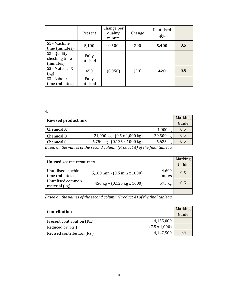|                                                        | Present           | Change per<br>quality<br>minute | Change | Unutilised<br>qty. |     |
|--------------------------------------------------------|-------------------|---------------------------------|--------|--------------------|-----|
| S1 - Machine<br>time (minutes)                         | 5,100             | 0.500                           | 300    | 5,400              | 0.5 |
| S <sub>2</sub> - Quality<br>checking time<br>(minutes) | Fully<br>utilised |                                 |        |                    |     |
| S <sub>3</sub> - Material X<br>(kg)                    | 450               | (0.050)                         | (30)   | 420                | 0.5 |
| S3 - Labour<br>time (minutes)                          | Fully<br>utilised |                                 |        |                    |     |

4.

| <b>Revised product mix</b> |                                                         |            | <b>Marking</b><br>Guide |
|----------------------------|---------------------------------------------------------|------------|-------------------------|
| Chemical A                 |                                                         | 1,000kg    | 0.5                     |
| Chemical B                 | $21,000 \text{ kg} - (0.5 \text{ x } 1,000 \text{ kg})$ | 20,500 kg  | 0.5                     |
| Chemical C                 | 6,750 kg - $(0.125 \times 1000 \text{ kg})$             | $6,625$ kg | 0.5                     |

*Based on the values of the second column (Product A) of the final tableau.* 

| <b>Unused scarce resources</b>       |                                                   |                  | <b>Marking</b><br>Guide |
|--------------------------------------|---------------------------------------------------|------------------|-------------------------|
| Unutilised machine<br>time (minutes) | 5,100 min - (0.5 min x 1000)                      | 4,600<br>minutes | 0.5                     |
| Unutilised common<br>material (kg)   | $450 \text{ kg} + (0.125 \text{ kg} \times 1000)$ | 575 kg           | 0.5                     |
|                                      |                                                   |                  |                         |

*Based on the values of the second column (Product A) of the final tableau.* 

| Contribution               |                      | <b>Marking</b><br>Guide |
|----------------------------|----------------------|-------------------------|
| Present contribution (Rs.) | 4,155,000            |                         |
| Reduced by (Rs.)           | $(7.5 \times 1,000)$ |                         |
| Revised contribution (Rs.) | 4,147,500            | 0.5                     |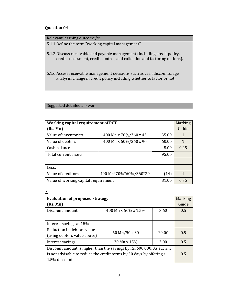| Relevant learning outcome/s:                                                                                                                           |
|--------------------------------------------------------------------------------------------------------------------------------------------------------|
| 5.1.1 Define the term "working capital management".                                                                                                    |
| 5.1.3 Discuss receivable and payable management (including credit policy,<br>credit assessment, credit control, and collection and factoring options). |
| 5.1.6 Assess receivable management decisions such as cash discounts, age<br>analysis, change in credit policy including whether to factor or not.      |

# Suggested detailed answer:

| Working capital requirement of PCT   |                       |       | Marking     |
|--------------------------------------|-----------------------|-------|-------------|
| (Rs. Mn)                             |                       |       | Guide       |
| Value of inventories                 | 400 Mn x 70%/360 x 45 | 35.00 | $\mathbf 1$ |
| Value of debtors                     | 400 Mn x 60%/360 x 90 | 60.00 | 1           |
| Cash balance                         |                       | 5.00  | 0.25        |
| 95.00<br>Total current assets        |                       |       |             |
|                                      |                       |       |             |
| Less:                                |                       |       |             |
| Value of creditors                   | 400 Mn*70%*60%/360*30 | (14)  | 1           |
| Value of working capital requirement |                       | 81.00 | 0.75        |

| 2.                                                                     |                                        |       |       |
|------------------------------------------------------------------------|----------------------------------------|-------|-------|
|                                                                        | <b>Evaluation of proposed strategy</b> |       |       |
| (Rs. Mn)                                                               |                                        |       | Guide |
| Discount amount                                                        | 400 Mn x 60% x 1.5%                    | 3.60  | 0.5   |
|                                                                        |                                        |       |       |
| Interest savings at 15%                                                |                                        |       |       |
| Reduction in debtors value                                             | 60 Mn/90 x 30                          | 20.00 | 0.5   |
| (using debtors value above)                                            |                                        |       |       |
| Interest savings                                                       | 20 Mn x 15%                            | 3.00  | 0.5   |
| Discount amount is higher than the savings by Rs. 600,000. As such, it |                                        |       |       |
| is not advisable to reduce the credit terms by 30 days by offering a   |                                        |       | 0.5   |
| 1.5% discount.                                                         |                                        |       |       |

1.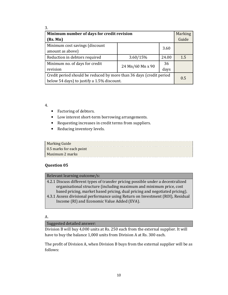| 3.                                                                  |                  |       |                |
|---------------------------------------------------------------------|------------------|-------|----------------|
| Minimum number of days for credit revision                          |                  |       | <b>Marking</b> |
| (Rs. Mn)                                                            |                  |       | Guide          |
| Minimum cost savings (discount<br>amount as above)                  |                  | 3.60  |                |
| Reduction in debtors required                                       | 3.60/15%         | 24.00 | 1.5            |
| Minimum no. of days for credit                                      | 36               |       |                |
| revision                                                            | 24 Mn/60 Mn x 90 | days  |                |
| Credit period should be reduced by more than 36 days (credit period |                  |       | 0.5            |
| below 54 days) to justify a 1.5% discount.                          |                  |       |                |

4.

- Factoring of debtors.
- Low interest short-term borrowing arrangements.
- Requesting increases in credit terms from suppliers.
- Reducing inventory levels.

| <b>Marking Guide</b>     |  |
|--------------------------|--|
| 0.5 marks for each point |  |
| Maximum 2 marks          |  |

#### **Question 05**

#### Relevant learning outcome/s:

- 4.2.1 Discuss different types of transfer pricing possible under a decentralized organisational structure (including maximum and minimum price, cost based pricing, market based pricing, dual pricing and negotiated pricing).
- 4.3.1 Assess divisional performance using Return on Investment (ROI), Residual Income (RI) and Economic Value Added (EVA).

#### A.

Suggested detailed answer:

Division B will buy 4,000 units at Rs. 250 each from the external supplier. It will have to buy the balance 1,000 units from Division A at Rs. 300 each.

The profit of Division A, when Division B buys from the external supplier will be as follows: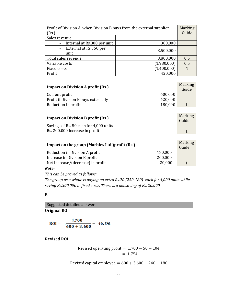| Profit of Division A, when Division B buys from the external supplier<br>(Rs.) |             | Marking<br>Guide |
|--------------------------------------------------------------------------------|-------------|------------------|
| Sales revenue                                                                  |             |                  |
| Internal at Rs.300 per unit<br>$\sim$                                          | 300,000     |                  |
| External at Rs.350 per<br>$\overline{\phantom{a}}$<br>unit                     | 3,500,000   |                  |
| Total sales revenue                                                            | 3,800,000   | 0.5              |
| Variable costs                                                                 | (1,980,000) | 0.5              |
| Fixed costs                                                                    | (1,400,000) |                  |
| Profit                                                                         | 420,000     |                  |

| <b>Impact on Division A profit (Rs.)</b> |         | Marking<br>Guide |
|------------------------------------------|---------|------------------|
| Current profit                           | 600,000 |                  |
| Profit if Division B buys externally     | 420,000 |                  |
| Reduction in profit                      | 180,000 |                  |

| <b>Impact on Division B profit (Rs.)</b> |  |
|------------------------------------------|--|
| Savings of Rs. 50 each for 4,000 units   |  |
| Rs. 200,000 increase in profit           |  |

| Impact on the group (Marbles Ltd.) profit (Rs.) |         |  |
|-------------------------------------------------|---------|--|
| Reduction in Division A profit                  | 180,000 |  |
| 200,000<br>Increase in Division B profit        |         |  |
| Net increase/(decrease) in profit<br>20,000     |         |  |

## *Note:*

*This can be proved as follows:*

*The group as a whole is paying an extra Rs.70 (250-180) each for 4,000 units while saving Rs.300,000 in fixed costs. There is a net saving of Rs. 20,000.* 

## B.

**Original ROI**  Suggested detailed answer:

$$
ROI = \frac{1,700}{600 + 3,600} = 40.5\%
$$

**Revised ROI** 

$$
Revised operating profit = 1,700 - 50 + 104
$$

$$
= 1,754
$$

Revised capital employed =  $600 + 3,600 - 240 + 180$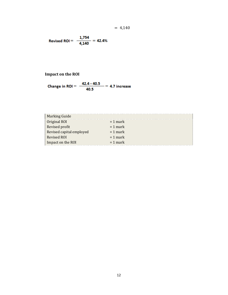$$
= 4,140
$$

$$
Revised \, ROI = \frac{1,754}{4,140} = 42.4\%
$$

## **Impact on the ROI**

Change in ROI = 
$$
\frac{42.4 - 40.5}{40.5} = 4.7
$$
 increase

| <b>Marking Guide</b>     |            |
|--------------------------|------------|
| Original ROI             | $= 1$ mark |
| Revised profit           | $= 1$ mark |
| Revised capital employed | $= 1$ mark |
| Revised ROI              | $= 1$ mark |
| Impact on the ROI        | $= 1$ mark |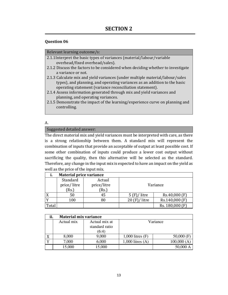## Relevant learning outcome/s:

- 2.1.1Interpret the basic types of variances (material/labour/variable overhead/fixed overhead/sales).
- 2.1.2 Discuss the factors to be considered when deciding whether to investigate a variance or not.
- 2.1.3 Calculate mix and yield variances (under multiple material/labour/sales types), and planning, and operating variances as an addition to the basic operating statement (variance reconciliation statement).
- 2.1.4 Assess information generated through mix and yield variances and planning, and operating variances.
- 2.1.5 Demonstrate the impact of the learning/experience curve on planning and controlling.

## A.

## Suggested detailed answer:

The direct material mix and yield variances must be interpreted with care, as there is a strong relationship between them. A standard mix will represent the combination of inputs that provide an acceptable of output at least possible cost. If some other combination of inputs could produce a lower cost output without sacrificing the quality, then this alternative will be selected as the standard. Therefore, any change in the input mix is expected to have an impact on the yield as well as the price of the input mix.

| ı.    | <b>Material price variance</b> |                                |       |                 |
|-------|--------------------------------|--------------------------------|-------|-----------------|
|       | Standard<br>price/litre<br>Rs. | Actual<br>price/litre<br>(Rs.) |       | Variance        |
|       | 50                             | 45                             | litre | Rs.40,000 (F)   |
|       | 100                            | 80                             | litre | Rs.140,000 (F)  |
| Total |                                |                                |       | Rs. 180,000 (F) |

|   | ii.<br><b>Material mix variance</b> |                                          |                      |              |
|---|-------------------------------------|------------------------------------------|----------------------|--------------|
|   | Actual mix                          | Actual mix at<br>standard ratio<br>(6:4) |                      | Variance     |
| v | 8,000                               | 9,000                                    | $1,000$ litres $(F)$ | $50,000$ (F) |
|   | 7,000                               | 6,000                                    | $1,000$ litres $(A)$ | 100,000(A)   |
|   | 15,000                              | 15,000                                   |                      | 50,000 A     |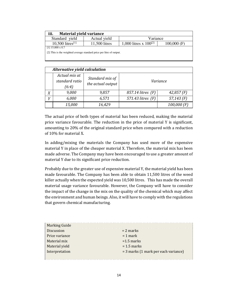| iii.<br><b>Material yield variance</b>                               |               |                            |               |
|----------------------------------------------------------------------|---------------|----------------------------|---------------|
| Standard yield                                                       | Actual yield  | Variance                   |               |
| 10,500 litres <sup>[1]</sup>                                         | 11,500 litres | 1,000 litres x $100^{[2]}$ | $100,000$ (F) |
| $[1]$ 15,000 x 0.7                                                   |               |                            |               |
| [2] This is the weighted average standard price per litre of output. |               |                            |               |
|                                                                      |               |                            |               |

|                | Alternative yield calculation            |                                      |                   |               |
|----------------|------------------------------------------|--------------------------------------|-------------------|---------------|
|                | Actual mix at<br>standard ratio<br>(6:4) | Standard mix of<br>the actual output |                   | Variance      |
| Χ              | 9,000                                    | 9,857                                | 857.14 litres (F) | $42,857$ (F)  |
| $\overline{V}$ | 6,000                                    | 6,571                                | 571.43 litres (F) | $57,143$ (F)  |
|                | 15,000                                   | 16,429                               |                   | $100,000$ (F) |

The actual price of both types of material has been reduced, making the material price variance favourable. The reduction in the price of material Y is significant, amounting to 20% of the original standard price when compared with a reduction of 10% for material X.

In adding/mixing the materials the Company has used more of the expensive material Y in place of the cheaper material X. Therefore, the material mix has been made adverse. The Company may have been encouraged to use a greater amount of material Y due to its significant price reduction.

Probably due to the greater use of expensive material Y, the material yield has been made favourable. The Company has been able to obtain 11,500 litres of the weed killer actually when the expected yield was 10,500 litres. This has made the overall material usage variance favourable. However, the Company will have to consider the impact of the change in the mix on the quality of the chemical which may affect the environment and human beings. Also, it will have to comply with the regulations that govern chemical manufacturing.

| <b>Marking Guide</b> |                                      |
|----------------------|--------------------------------------|
| Discussion           | $= 2$ marks                          |
| Price variance       | $= 1$ mark                           |
| Material mix         | $=1.5$ marks                         |
| Material yield       | $= 1.5$ marks                        |
| Interpretation       | = 3 marks (1 mark per each variance) |
|                      |                                      |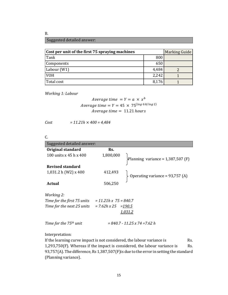B.

## Suggested detailed answer:

| Cost per unit of the first 75 spraying machines | Marking Guide |  |
|-------------------------------------------------|---------------|--|
| Tank                                            | 800           |  |
| Components                                      | 650           |  |
| Labour (W1)                                     | 4,484         |  |
| <b>VOH</b>                                      | 2,242         |  |
| Total cost                                      | 8,176         |  |

*Working 1: Labour* 

*Average time* = 
$$
Y = a \times x^b
$$
  
*Average time* =  $Y = 45 \times 75^{(\log 0.8/\log 2)}$   
*Average time* = 11.21 *hours*

*Cost = 11.21h* × *400 = 4,484* 

## C.

| Suggested detailed answer:                             |           |                                      |
|--------------------------------------------------------|-----------|--------------------------------------|
| Original standard                                      | Rs.       |                                      |
| 100 units $x$ 45 h $x$ 400                             | 1,800,000 | Planning variance = $1,387,507$ (F)  |
| Revised standard                                       |           |                                      |
| 1,031.2 h (W2) x 400                                   | 412,493   | Operating variance = 93,757 (A)      |
| Actual                                                 | 506,250   |                                      |
| Working 2:                                             |           |                                      |
| Time for the first 75 units $= 11.21h$ x 75 = 840.7    |           |                                      |
| Time for the next 25 units $= 7.62h \times 25 = 190.5$ |           |                                      |
|                                                        |           | <u>1,031.2</u>                       |
| Time for the 75 <sup>th</sup> unit                     |           | $= 840.7 - 11.25 \times 74 = 7.62 h$ |

Interpretation:

If the learning curve impact is not considered, the labour variance is Rs.  $1,293,750(F)$ . Whereas if the impact is considered, the labour variance is Rs. 93,757(A). The difference, Rs 1,387,507(F)is due to the error in setting the standard (Planning variance).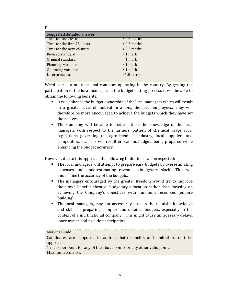| Suggested detailed answer:         |               |
|------------------------------------|---------------|
| Time for the 75 <sup>th</sup> unit | $= 0.5$ marks |
| Time for the first 75 units        | $= 0.5$ marks |
| Time for the next 25 units         | $= 0.5$ marks |
| Revised standard                   | $= 1$ mark    |
| Original standard                  | $= 1$ mark    |
| Planning variance                  | $= 1$ mark    |
| Operating variance                 | $= 1$ mark    |
| Interpretation                     | $=1.5$ marks  |
|                                    |               |

D.

Weedicide is a multinational company operating in the country. By getting the participation of the local managers in the budget setting process it will be able to obtain the following benefits:

- It will enhance the budget ownership of the local managers which will result in a greater level of motivation among the local employees. They will therefore be more encouraged to achieve the budgets which they have set themselves..
- The Company will be able to better utilize the knowledge of the local managers with respect to the farmers' pattern of chemical usage, local regulations governing the agro-chemical industry, local suppliers and competitors, etc. This will result in realistic budgets being prepared while enhancing the budget accuracy.

However, due to this approach the following limitations can be expected:

- The local managers will attempt to prepare easy budgets by overestimating expenses and underestimating revenues (budgetary slack). This will undermine the accuracy of the budgets.
- The managers encouraged by the greater freedom would try to improve their own benefits through budgetary allocation rather than focusing on achieving the Company's objectives with minimum resources (empire building).
- The local managers, may not necessarily possess the requisite knowledge and skills in preparing complex and detailed budgets, especially in the context of a multinational company. This might cause unnecessary delays, inaccuracies and pseudo participation.

| <b>Marking Guide</b>                                                     |
|--------------------------------------------------------------------------|
| Candidates are supposed to address both benefits and limitations of this |
| approach.                                                                |
| 1 mark per point for any of the above points or any other valid point.   |
| Maximum 5 marks.                                                         |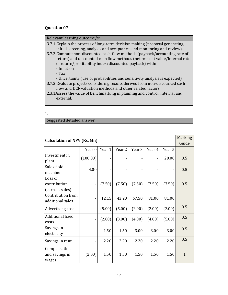| Relevant learning outcome/s:                                                                                                                                                                                                                                                                                                                                                                           |
|--------------------------------------------------------------------------------------------------------------------------------------------------------------------------------------------------------------------------------------------------------------------------------------------------------------------------------------------------------------------------------------------------------|
| 3.7.1 Explain the process of long-term decision making (proposal generating,<br>initial screening, analysis and acceptance, and monitoring and review).<br>3.7.2 Compute non-discounted cash-flow methods (payback/accounting rate of<br>return) and discounted cash flow methods (net present value/internal rate<br>of return/profitability index/discounted payback) with:<br>- Inflation<br>$-Tax$ |
| - Uncertainty (use of probabilities and sensitivity analysis is expected)<br>3.7.3 Evaluate projects considering results derived from non-discounted cash<br>flow and DCF valuation methods and other related factors.<br>2.3.1 Assess the value of benchmarking in planning and control, internal and<br>external.                                                                                    |

| I<br>۰, |  |
|---------|--|
|         |  |

Suggested detailed answer:

| <b>Calculation of NPV (Rs. Mn)</b> |          |        |        |        |        |        | Marking      |
|------------------------------------|----------|--------|--------|--------|--------|--------|--------------|
|                                    |          |        |        |        |        |        |              |
|                                    | Year 0   | Year 1 | Year 2 | Year 3 | Year 4 | Year 5 |              |
| Investment in                      | (100.00) |        |        |        |        | 20.00  | 0.5          |
| plant                              |          |        |        |        |        |        |              |
| Sale of old                        | 4.00     |        |        |        |        |        | 0.5          |
| machine                            |          |        |        |        |        |        |              |
| Loss of                            |          |        |        |        |        |        |              |
| contribution                       |          | (7.50) | (7.50) | (7.50) | (7.50) | (7.50) | 0.5          |
| (current sales)                    |          |        |        |        |        |        |              |
| Contribution from                  |          | 12.15  | 43.20  | 67.50  | 81.00  | 81.00  |              |
| additional sales                   |          |        |        |        |        |        |              |
| Advertising cost                   |          | (5.00) | (5.00) | (2.00) | (2.00) | (2.00) | 0.5          |
| Additional fixed                   |          | (2.00) | (3.00) | (4.00) | (4.00) | (5.00) | 0.5          |
| costs                              |          |        |        |        |        |        |              |
| Savings in                         |          | 1.50   | 1.50   | 3.00   | 3.00   | 3.00   | 0.5          |
| electricity                        |          |        |        |        |        |        |              |
| Savings in rent                    |          | 2.20   | 2.20   | 2.20   | 2.20   | 2.20   | 0.5          |
| Compensation                       |          |        |        |        |        |        |              |
| and savings in                     | (2.00)   | 1.50   | 1.50   | 1.50   | 1.50   | 1.50   | $\mathbf{1}$ |
| wages                              |          |        |        |        |        |        |              |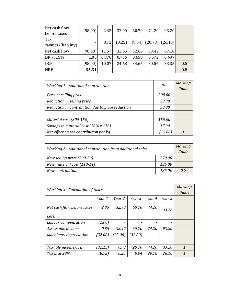| Net cash flow       | (98.00) | 2.85  | 32.90  | 60.70 | 74.20 | 93.20                        |     |
|---------------------|---------|-------|--------|-------|-------|------------------------------|-----|
| before taxes        |         |       |        |       |       |                              |     |
| Tax                 |         | 8.72  | (0.25) |       |       | $(8.04)$ $(20.78)$ $(26.10)$ |     |
| savings/(liability) |         |       |        |       |       |                              |     |
| Net cash flow       | (98.00) | 11.57 | 32.65  | 52.66 | 53.42 | 67.10                        |     |
| DR at 15%           | 1.00    | 0.870 | 0.756  | 0.658 | 0.572 | 0.497                        |     |
| <b>DCF</b>          | (98.00) | 10.07 | 24.68  | 34.65 | 30.56 | 33.35                        | 0.5 |
| <b>NPV</b>          | 35.31   |       |        |       |       |                              | 0.5 |

| Working 1 - Additional contribution              | Rs.     | Marking<br>Guide |
|--------------------------------------------------|---------|------------------|
| Present selling price                            | 300.00  |                  |
| Reduction in selling price                       | 30.00   |                  |
| Reduction in contribution due to price reduction | 30.00   |                  |
|                                                  |         |                  |
| Material cost (300-150)                          | 150.00  |                  |
| Savings in material cost (10% x 110)             | 15.00   |                  |
| Net effect on the contribution per kg.           | (15.00) |                  |

| Working 2 - Additional contribution from additional sales |        |     |  |
|-----------------------------------------------------------|--------|-----|--|
| New selling price (200-20)                                | 270.00 |     |  |
| New material cost (110-11)                                | 135.00 |     |  |
| New contribution                                          | 135.00 | 0.5 |  |

| <b>Working 3 - Calculation of taxes</b>        |         |         |         |       |       |                     |  |  |  |
|------------------------------------------------|---------|---------|---------|-------|-------|---------------------|--|--|--|
| Year 4<br>Year 5<br>Year 1<br>Year 2<br>Year 3 |         |         |         |       |       |                     |  |  |  |
| Net cash flow before taxes                     | 2.85    | 32.90   | 60.70   | 74.20 | 93.20 |                     |  |  |  |
| Less:                                          |         |         |         |       |       |                     |  |  |  |
| Labour compensation                            | (2.00)  |         |         |       | -     |                     |  |  |  |
| Assessable income                              | 0.85    | 32.90   | 60.70   | 74.20 | 93.20 |                     |  |  |  |
| Machinery depreciation                         | (32.00) | (32.00) | (32.00) |       | -     |                     |  |  |  |
|                                                |         |         |         |       |       |                     |  |  |  |
| Taxable income/loss                            | (31.15) | 0.90    | 28.70   | 74.20 | 93.20 | $\mathbf{1}$        |  |  |  |
| Taxes at 28%                                   | (8.72)  | 0.25    | 8.04    | 20.78 | 26.10 | $\boldsymbol{\eta}$ |  |  |  |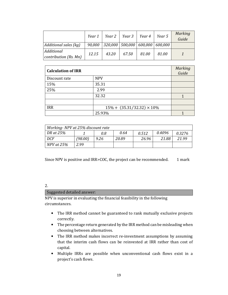|                                     | Year 1 |                                                  | Year 2   Year 3   Year 4 |       | Year 5 | Marking<br>Guide |
|-------------------------------------|--------|--------------------------------------------------|--------------------------|-------|--------|------------------|
| Additional sales (kg)               |        | $90,000$   320,000   500,000   600,000   600,000 |                          |       |        |                  |
| Additional<br>contribution (Rs. Mn) | 12.15  | 43.20                                            | 67.50                    | 81.00 | 81.00  |                  |

| <b>Calculation of IRR</b> |                                    | Marking<br>Guide |
|---------------------------|------------------------------------|------------------|
| Discount rate             | <b>NPV</b>                         |                  |
| 15%                       | 35.31                              |                  |
| 25%                       | 2.99                               |                  |
|                           | 32.32                              |                  |
|                           |                                    |                  |
| <b>IRR</b>                | $15\% + (35.31/32.32) \times 10\%$ |                  |
|                           | 25.93%                             |                  |

| Working-NPV at 25% discount rate |         |      |       |       |        |        |  |  |
|----------------------------------|---------|------|-------|-------|--------|--------|--|--|
| DR at 25%                        |         | 0.8  | 0.64  | 0.512 | 0.4096 | 0.3276 |  |  |
| DCF                              | (98.00) | 9.26 | 20.89 | 26.96 | 21.88  | 21.99  |  |  |
| $NPV$ at $25%$                   | 2.99    |      |       |       |        |        |  |  |

Since NPV is positive and IRR>COC, the project can be recommended. 1 mark

#### 2.

#### Suggested detailed answer:

NPV is superior in evaluating the financial feasibility in the following circumstances.

- The IRR method cannot be guaranteed to rank mutually exclusive projects correctly.
- The percentage return generated by the IRR method can be misleading when choosing between alternatives.
- The IRR method makes incorrect re-investment assumptions by assuming that the interim cash flows can be reinvested at IRR rather than cost of capital.
- Multiple IRRs are possible when unconventional cash flows exist in a project's cash flows.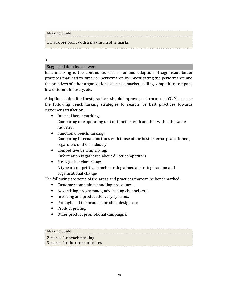Marking Guide

1 mark per point with a maximum of 2 marks

3.

Suggested detailed answer:

Benchmarking is the continuous search for and adoption of significant better practices that lead to superior performance by investigating the performance and the practices of other organizations such as a market leading competitor, company in a different industry, etc.

Adoption of identified best practices should improve performance in YC. YC can use the following benchmarking strategies to search for best practices towards customer satisfaction.

- Internal benchmarking: Comparing one operating unit or function with another within the same industry.
- Functional benchmarking: Comparing internal functions with those of the best external practitioners, regardless of their industry.
- Competitive benchmarking: Information is gathered about direct competitors.
- Strategic benchmarking: A type of competitive benchmarking aimed at strategic action and organisational change.

The following are some of the areas and practices that can be benchmarked.

- Customer complaints handling procedures.
- Advertising programmes, advertising channels etc.
- Invoicing and product delivery systems.
- Packaging of the product, product design, etc.
- Product pricing.
- Other product promotional campaigns.

## Marking Guide 2 marks for benchmarking 3 marks for the three practices